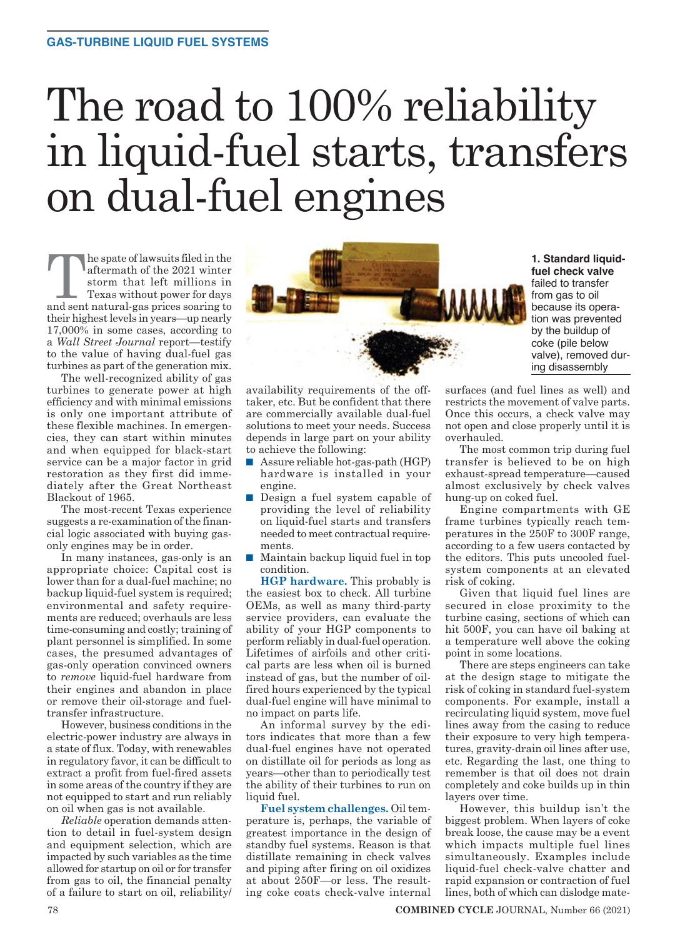# The road to 100% reliability in liquid-fuel starts, transfers on dual-fuel engines

he spate of lawsuits filed in the aftermath of the 2021 winter storm that left millions in Texas without power for days and sent natural-gas prices soaring to their highest levels in years—up nearly 17,000% in some cases, according to a *Wall Street Journal* report—testify to the value of having dual-fuel gas turbines as part of the generation mix.

The well-recognized ability of gas turbines to generate power at high efficiency and with minimal emissions is only one important attribute of these flexible machines. In emergencies, they can start within minutes and when equipped for black-start service can be a major factor in grid restoration as they first did immediately after the Great Northeast Blackout of 1965.

The most-recent Texas experience suggests a re-examination of the financial logic associated with buying gasonly engines may be in order.

In many instances, gas-only is an appropriate choice: Capital cost is lower than for a dual-fuel machine; no backup liquid-fuel system is required; environmental and safety requirements are reduced; overhauls are less time-consuming and costly; training of plant personnel is simplified. In some cases, the presumed advantages of gas-only operation convinced owners to *remove* liquid-fuel hardware from their engines and abandon in place or remove their oil-storage and fueltransfer infrastructure.

However, business conditions in the electric-power industry are always in a state of flux. Today, with renewables in regulatory favor, it can be difficult to extract a profit from fuel-fired assets in some areas of the country if they are not equipped to start and run reliably on oil when gas is not available.

*Reliable* operation demands attention to detail in fuel-system design and equipment selection, which are impacted by such variables as the time allowed for startup on oil or for transfer from gas to oil, the financial penalty of a failure to start on oil, reliability/



availability requirements of the offtaker, etc. But be confident that there are commercially available dual-fuel solutions to meet your needs. Success depends in large part on your ability to achieve the following:

- $\blacksquare$  Assure reliable hot-gas-path (HGP) hardware is installed in your engine.
- Design a fuel system capable of providing the level of reliability on liquid-fuel starts and transfers needed to meet contractual requirements.
- $\blacksquare$  Maintain backup liquid fuel in top condition.

**HGP hardware.** This probably is the easiest box to check. All turbine OEMs, as well as many third-party service providers, can evaluate the ability of your HGP components to perform reliably in dual-fuel operation. Lifetimes of airfoils and other critical parts are less when oil is burned instead of gas, but the number of oilfired hours experienced by the typical dual-fuel engine will have minimal to no impact on parts life.

An informal survey by the editors indicates that more than a few dual-fuel engines have not operated on distillate oil for periods as long as years—other than to periodically test the ability of their turbines to run on liquid fuel.

**Fuel system challenges.** Oil temperature is, perhaps, the variable of greatest importance in the design of standby fuel systems. Reason is that distillate remaining in check valves and piping after firing on oil oxidizes at about 250F—or less. The resulting coke coats check-valve internal surfaces (and fuel lines as well) and restricts the movement of valve parts. Once this occurs, a check valve may not open and close properly until it is overhauled.

The most common trip during fuel transfer is believed to be on high exhaust-spread temperature—caused almost exclusively by check valves hung-up on coked fuel.

Engine compartments with GE frame turbines typically reach temperatures in the 250F to 300F range, according to a few users contacted by the editors. This puts uncooled fuelsystem components at an elevated risk of coking.

Given that liquid fuel lines are secured in close proximity to the turbine casing, sections of which can hit 500F, you can have oil baking at a temperature well above the coking point in some locations.

There are steps engineers can take at the design stage to mitigate the risk of coking in standard fuel-system components. For example, install a recirculating liquid system, move fuel lines away from the casing to reduce their exposure to very high temperatures, gravity-drain oil lines after use, etc. Regarding the last, one thing to remember is that oil does not drain completely and coke builds up in thin layers over time.

However, this buildup isn't the biggest problem. When layers of coke break loose, the cause may be a event which impacts multiple fuel lines simultaneously. Examples include liquid-fuel check-valve chatter and rapid expansion or contraction of fuel lines, both of which can dislodge mate-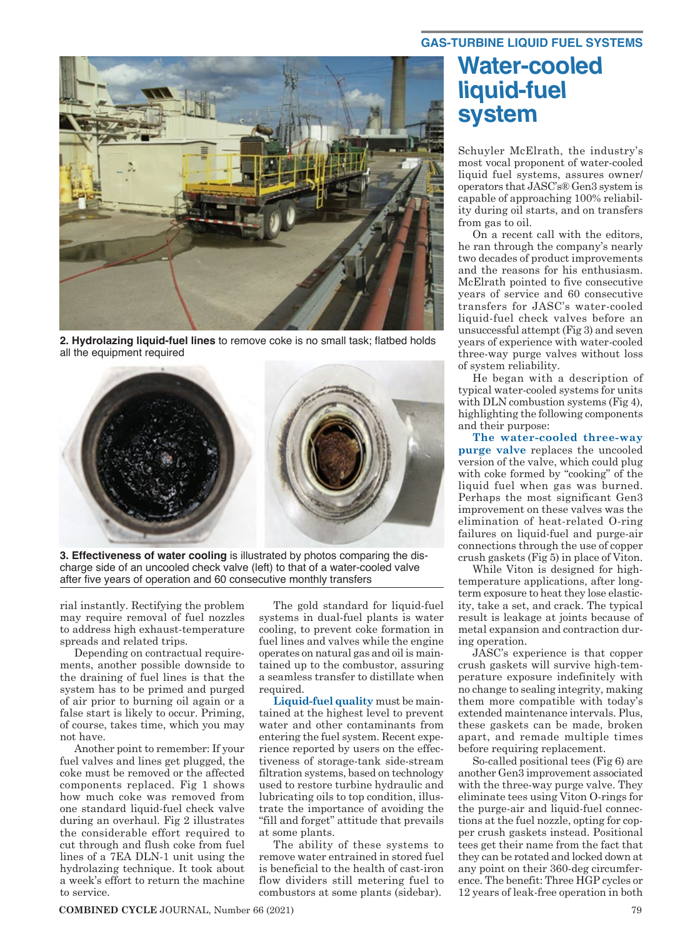

**2. Hydrolazing liquid-fuel lines** to remove coke is no small task; flatbed holds all the equipment required



**3. Effectiveness of water cooling** is illustrated by photos comparing the discharge side of an uncooled check valve (left) to that of a water-cooled valve after five years of operation and 60 consecutive monthly transfers

rial instantly. Rectifying the problem may require removal of fuel nozzles to address high exhaust-temperature spreads and related trips.

Depending on contractual requirements, another possible downside to the draining of fuel lines is that the system has to be primed and purged of air prior to burning oil again or a false start is likely to occur. Priming, of course, takes time, which you may not have.

Another point to remember: If your fuel valves and lines get plugged, the coke must be removed or the affected components replaced. Fig 1 shows how much coke was removed from one standard liquid-fuel check valve during an overhaul. Fig 2 illustrates the considerable effort required to cut through and flush coke from fuel lines of a 7EA DLN-1 unit using the hydrolazing technique. It took about a week's effort to return the machine to service.

The gold standard for liquid-fuel systems in dual-fuel plants is water cooling, to prevent coke formation in fuel lines and valves while the engine operates on natural gas and oil is maintained up to the combustor, assuring a seamless transfer to distillate when required.

**Liquid-fuel quality** must be maintained at the highest level to prevent water and other contaminants from entering the fuel system. Recent experience reported by users on the effectiveness of storage-tank side-stream filtration systems, based on technology used to restore turbine hydraulic and lubricating oils to top condition, illustrate the importance of avoiding the "fill and forget" attitude that prevails at some plants.

The ability of these systems to remove water entrained in stored fuel is beneficial to the health of cast-iron flow dividers still metering fuel to combustors at some plants (sidebar).

## **Water-cooled liquid-fuel system**

Schuyler McElrath, the industry's most vocal proponent of water-cooled liquid fuel systems, assures owner/ operators that JASC's® Gen3 system is capable of approaching 100% reliability during oil starts, and on transfers from gas to oil.

On a recent call with the editors, he ran through the company's nearly two decades of product improvements and the reasons for his enthusiasm. McElrath pointed to five consecutive years of service and 60 consecutive transfers for JASC's water-cooled liquid-fuel check valves before an unsuccessful attempt (Fig 3) and seven years of experience with water-cooled three-way purge valves without loss of system reliability.

He began with a description of typical water-cooled systems for units with DLN combustion systems (Fig 4), highlighting the following components and their purpose:

**The water-cooled three-way purge valve** replaces the uncooled version of the valve, which could plug with coke formed by "cooking" of the liquid fuel when gas was burned. Perhaps the most significant Gen3 improvement on these valves was the elimination of heat-related O-ring failures on liquid-fuel and purge-air connections through the use of copper crush gaskets (Fig 5) in place of Viton.

While Viton is designed for hightemperature applications, after longterm exposure to heat they lose elasticity, take a set, and crack. The typical result is leakage at joints because of metal expansion and contraction during operation.

JASC's experience is that copper crush gaskets will survive high-temperature exposure indefinitely with no change to sealing integrity, making them more compatible with today's extended maintenance intervals. Plus, these gaskets can be made, broken apart, and remade multiple times before requiring replacement.

So-called positional tees (Fig 6) are another Gen3 improvement associated with the three-way purge valve. They eliminate tees using Viton O-rings for the purge-air and liquid-fuel connections at the fuel nozzle, opting for copper crush gaskets instead. Positional tees get their name from the fact that they can be rotated and locked down at any point on their 360-deg circumference. The benefit: Three HGP cycles or 12 years of leak-free operation in both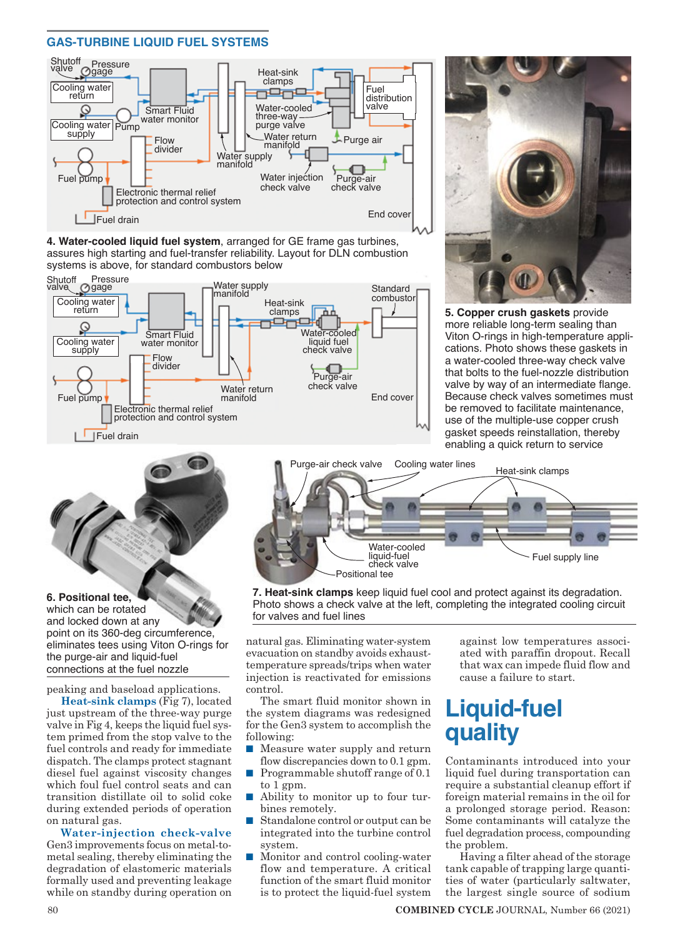#### **GAS-TURBINE LIQUID FUEL SYSTEMS**



**4. Water-cooled liquid fuel system**, arranged for GE frame gas turbines, assures high starting and fuel-transfer reliability. Layout for DLN combustion systems is above, for standard combustors below





**5. Copper crush gaskets** provide more reliable long-term sealing than Viton O-rings in high-temperature applications. Photo shows these gaskets in a water-cooled three-way check valve that bolts to the fuel-nozzle distribution valve by way of an intermediate flange. Because check valves sometimes must be removed to facilitate maintenance, use of the multiple-use copper crush gasket speeds reinstallation, thereby enabling a quick return to service



#### **6. Positional tee,**

which can be rotated and locked down at any point on its 360-deg circumference, eliminates tees using Viton O-rings for the purge-air and liquid-fuel connections at the fuel nozzle

peaking and baseload applications.

**Heat-sink clamps** (Fig 7), located just upstream of the three-way purge valve in Fig 4, keeps the liquid fuel system primed from the stop valve to the fuel controls and ready for immediate dispatch. The clamps protect stagnant diesel fuel against viscosity changes which foul fuel control seats and can transition distillate oil to solid coke during extended periods of operation on natural gas.

**Water-injection check-valve** Gen3 improvements focus on metal-tometal sealing, thereby eliminating the degradation of elastomeric materials formally used and preventing leakage while on standby during operation on



**7. Heat-sink clamps** keep liquid fuel cool and protect against its degradation. Photo shows a check valve at the left, completing the integrated cooling circuit for valves and fuel lines

natural gas. Eliminating water-system evacuation on standby avoids exhausttemperature spreads/trips when water injection is reactivated for emissions control.

The smart fluid monitor shown in the system diagrams was redesigned for the Gen3 system to accomplish the following:

- $\blacksquare$  Measure water supply and return flow discrepancies down to 0.1 gpm.
- Programmable shutoff range of  $0.1$ to 1 gpm.
- Ability to monitor up to four turbines remotely.
- Standalone control or output can be integrated into the turbine control system.
- Monitor and control cooling-water flow and temperature. A critical function of the smart fluid monitor is to protect the liquid-fuel system

against low temperatures associated with paraffin dropout. Recall that wax can impede fluid flow and cause a failure to start.

## **Liquid-fuel quality**

Contaminants introduced into your liquid fuel during transportation can require a substantial cleanup effort if foreign material remains in the oil for a prolonged storage period. Reason: Some contaminants will catalyze the fuel degradation process, compounding the problem.

Having a filter ahead of the storage tank capable of trapping large quantities of water (particularly saltwater, the largest single source of sodium